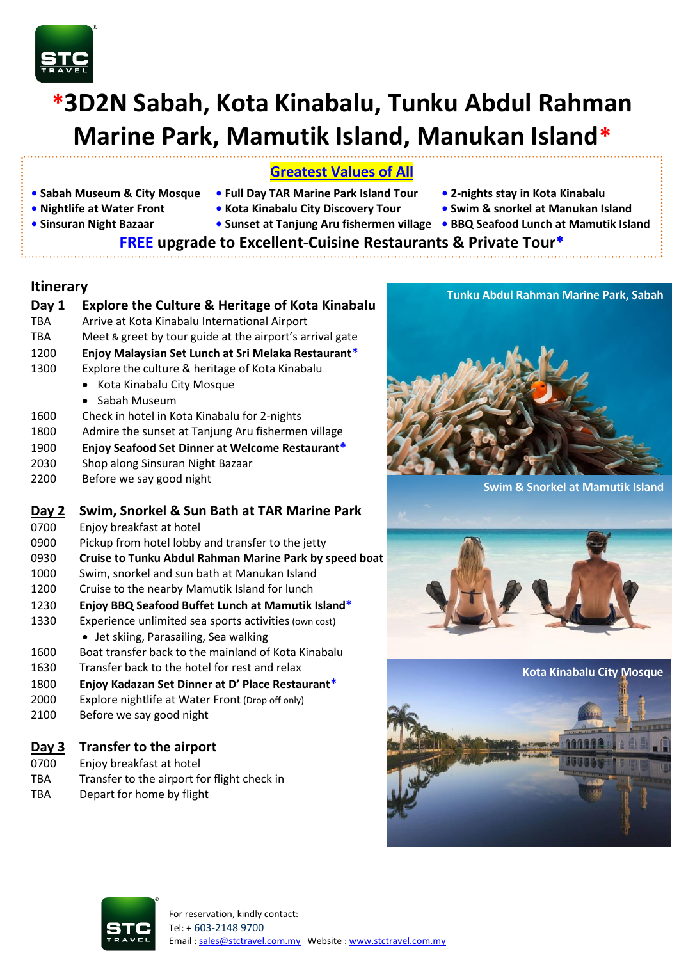

# **\*3D2N Sabah, Kota Kinabalu, Tunku Abdul Rahman Marine Park, Mamutik Island, Manukan Island\***

**Greatest Values of All**

- **• Sabah Museum & City Mosque Full Day TAR Marine Park Island Tour 2-nights stay in Kota Kinabalu**
- 
- **Nightlife at Water Front Kota Kinabalu City Discovery Tour Swim & snorkel at Manukan Island**
- -
- 
- **Sinsuran Night Bazaar Sunset at Tanjung Aru fishermen village • BBQ Seafood Lunch at Mamutik Island**
- -

**FREE upgrade to Excellent-Cuisine Restaurants & Private Tour\***

# **Itinerary**

| <b>Day 1</b> | <b>Explore the Culture &amp; Heritage of Kota Kinabalu</b> |  |
|--------------|------------------------------------------------------------|--|
| <b>TBA</b>   | Arrive at Kota Kinabalu International Airport              |  |
| <b>TBA</b>   | Meet & greet by tour guide at the airport's arrival gate   |  |
| 1200         | Enjoy Malaysian Set Lunch at Sri Melaka Restaurant*        |  |
| 1300         | Explore the culture & heritage of Kota Kinabalu            |  |
|              | Kota Kinabalu City Mosque                                  |  |
|              | Sabah Museum                                               |  |
| 1600         | Check in hotel in Kota Kinabalu for 2-nights               |  |
| 1800         | Admire the sunset at Tanjung Aru fishermen village         |  |
| 1900         | Enjoy Seafood Set Dinner at Welcome Restaurant*            |  |
| 2030         | Shop along Sinsuran Night Bazaar                           |  |
| 2200         | Before we say good night                                   |  |
| <b>Day 2</b> | Swim, Snorkel & Sun Bath at TAR Marine Park                |  |
| 0700         | Enjoy breakfast at hotel                                   |  |
| 0900         | Pickup from hotel lobby and transfer to the jetty          |  |
| 0930         | Cruise to Tunku Abdul Rahman Marine Park by speed boat     |  |
| 1000         | Swim, snorkel and sun bath at Manukan Island               |  |
| 1200         | Cruise to the nearby Mamutik Island for lunch              |  |
| 1230         | Enjoy BBQ Seafood Buffet Lunch at Mamutik Island*          |  |
| 1330         | Experience unlimited sea sports activities (own cost)      |  |
|              | • Jet skiing, Parasailing, Sea walking                     |  |
| 1600         | Boat transfer back to the mainland of Kota Kinabalu        |  |
| 1630         | Transfer back to the hotel for rest and relax              |  |
| 1800         | Enjoy Kadazan Set Dinner at D' Place Restaurant*           |  |
| 2000         | Explore nightlife at Water Front (Drop off only)           |  |
| 2100         | Before we say good night                                   |  |
|              |                                                            |  |
| Day 3        | <b>Transfer to the airport</b>                             |  |

- 0700 Enjoy breakfast at hotel
- TBA Transfer to the airport for flight check in
- TBA Depart for home by flight



**Swim & Snorkel at Mamutik Island**



**Kota Kinabalu City Mosque**